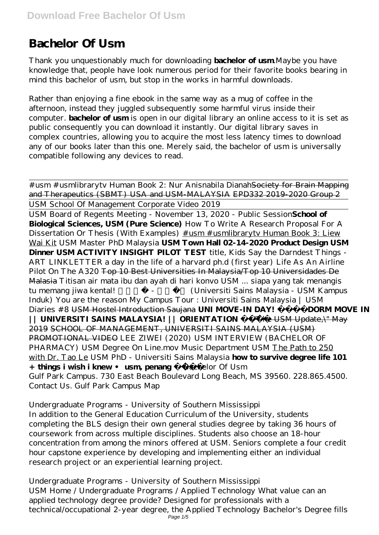# **Bachelor Of Usm**

Thank you unquestionably much for downloading **bachelor of usm**.Maybe you have knowledge that, people have look numerous period for their favorite books bearing in mind this bachelor of usm, but stop in the works in harmful downloads.

Rather than enjoying a fine ebook in the same way as a mug of coffee in the afternoon, instead they juggled subsequently some harmful virus inside their computer. **bachelor of usm** is open in our digital library an online access to it is set as public consequently you can download it instantly. Our digital library saves in complex countries, allowing you to acquire the most less latency times to download any of our books later than this one. Merely said, the bachelor of usm is universally compatible following any devices to read.

# usm # usmlibraryty Human Book 2: Nur Anisnabila Dianah Society for Brain Mapping and Therapeutics (SBMT) USA and USM-MALAYSIA EPD332 2019-2020 Group 2 USM School Of Management Corporate Video 2019 USM Board of Regents Meeting - November 13, 2020 - Public Session**School of Biological Sciences, USM (Pure Science)** How To Write A Research Proposal For A Dissertation Or Thesis (With Examples)  $\#$ usm  $\#$ usmlibrarytv Human Book 3: Liew Wai Kit *USM Master PhD Malaysia* **USM Town Hall 02-14-2020 Product Design USM Dinner USM ACTIVITY INSIGHT PILOT TEST** *title, Kids Say the Darndest Things - ART LINKLETTER a day in the life of a harvard ph.d (first year) Life As An Airline Pilot On The A320* Top 10 Best Universities In Malaysia/Top 10 Universidades De Malasia *Titisan air mata ibu dan ayah di hari konvo USM ... siapa yang tak menangis* tu memang jiwa kental! <sup>2</sup> 1999 - <sup>2</sup> 1999 - *(Universiti Sains Malaysia - USM Kampus Induk) You are the reason My Campus Tour : Universiti Sains Malaysia | USM Diaries #8* USM Hostel Introduction Saujana **UNI MOVE-IN DAY! DORM MOVE IN || UNIVERSITI SAINS MALAYSIA! || ORIENTATION** \"The USM Update,\" May 2019 SCHOOL OF MANAGEMENT, UNIVERSITI SAINS MALAYSIA (USM) PROMOTIONAL VIDEO *LEE ZIWEI (2020) USM INTERVIEW (BACHELOR OF PHARMACY)* USM Degree On Line.mov *Music Department USM* The Path to 250 with Dr. Tao Le USM PhD - Universiti Sains Malaysia **how to survive degree life 101 + things i wish i knew • usm, penang** *Bachelor Of Usm* Gulf Park Campus. 730 East Beach Boulevard Long Beach, MS 39560. 228.865.4500. Contact Us. Gulf Park Campus Map

#### *Undergraduate Programs - University of Southern Mississippi*

In addition to the General Education Curriculum of the University, students completing the BLS design their own general studies degree by taking 36 hours of coursework from across multiple disciplines. Students also choose an 18-hour concentration from among the minors offered at USM. Seniors complete a four credit hour capstone experience by developing and implementing either an individual research project or an experiential learning project.

# *Undergraduate Programs - University of Southern Mississippi*

USM Home / Undergraduate Programs / Applied Technology What value can an applied technology degree provide? Designed for professionals with a technical/occupational 2-year degree, the Applied Technology Bachelor's Degree fills Page 1/5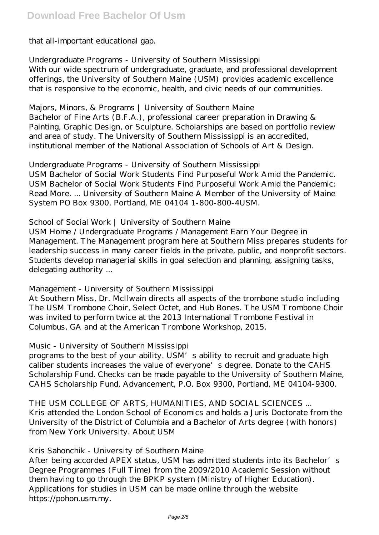that all-important educational gap.

#### *Undergraduate Programs - University of Southern Mississippi*

With our wide spectrum of undergraduate, graduate, and professional development offerings, the University of Southern Maine (USM) provides academic excellence that is responsive to the economic, health, and civic needs of our communities.

#### *Majors, Minors, & Programs | University of Southern Maine*

Bachelor of Fine Arts (B.F.A.), professional career preparation in Drawing & Painting, Graphic Design, or Sculpture. Scholarships are based on portfolio review and area of study. The University of Southern Mississippi is an accredited, institutional member of the National Association of Schools of Art & Design.

## *Undergraduate Programs - University of Southern Mississippi*

USM Bachelor of Social Work Students Find Purposeful Work Amid the Pandemic. USM Bachelor of Social Work Students Find Purposeful Work Amid the Pandemic: Read More. ... University of Southern Maine A Member of the University of Maine System PO Box 9300, Portland, ME 04104 1-800-800-4USM.

## *School of Social Work | University of Southern Maine*

USM Home / Undergraduate Programs / Management Earn Your Degree in Management. The Management program here at Southern Miss prepares students for leadership success in many career fields in the private, public, and nonprofit sectors. Students develop managerial skills in goal selection and planning, assigning tasks, delegating authority ...

# *Management - University of Southern Mississippi*

At Southern Miss, Dr. McIlwain directs all aspects of the trombone studio including The USM Trombone Choir, Select Octet, and Hub Bones. The USM Trombone Choir was invited to perform twice at the 2013 International Trombone Festival in Columbus, GA and at the American Trombone Workshop, 2015.

#### *Music - University of Southern Mississippi*

programs to the best of your ability. USM's ability to recruit and graduate high caliber students increases the value of everyone's degree. Donate to the CAHS Scholarship Fund. Checks can be made payable to the University of Southern Maine, CAHS Scholarship Fund, Advancement, P.O. Box 9300, Portland, ME 04104-9300.

*THE USM COLLEGE OF ARTS, HUMANITIES, AND SOCIAL SCIENCES ...* Kris attended the London School of Economics and holds a Juris Doctorate from the University of the District of Columbia and a Bachelor of Arts degree (with honors) from New York University. About USM

#### *Kris Sahonchik - University of Southern Maine*

After being accorded APEX status, USM has admitted students into its Bachelor's Degree Programmes (Full Time) from the 2009/2010 Academic Session without them having to go through the BPKP system (Ministry of Higher Education). Applications for studies in USM can be made online through the website https://pohon.usm.my.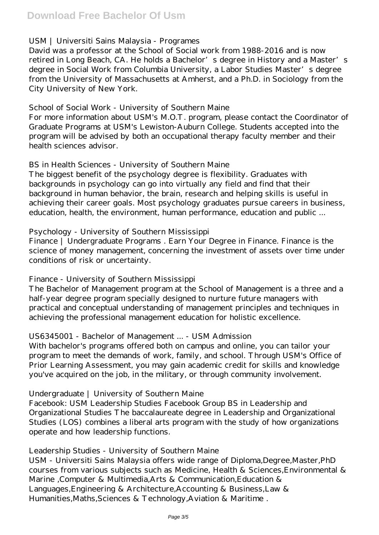# *USM | Universiti Sains Malaysia - Programes*

David was a professor at the School of Social work from 1988-2016 and is now retired in Long Beach, CA. He holds a Bachelor's degree in History and a Master's degree in Social Work from Columbia University, a Labor Studies Master's degree from the University of Massachusetts at Amherst, and a Ph.D. in Sociology from the City University of New York.

#### *School of Social Work - University of Southern Maine*

For more information about USM's M.O.T. program, please contact the Coordinator of Graduate Programs at USM's Lewiston-Auburn College. Students accepted into the program will be advised by both an occupational therapy faculty member and their health sciences advisor.

#### *BS in Health Sciences - University of Southern Maine*

The biggest benefit of the psychology degree is flexibility. Graduates with backgrounds in psychology can go into virtually any field and find that their background in human behavior, the brain, research and helping skills is useful in achieving their career goals. Most psychology graduates pursue careers in business, education, health, the environment, human performance, education and public ...

#### *Psychology - University of Southern Mississippi*

Finance | Undergraduate Programs . Earn Your Degree in Finance. Finance is the science of money management, concerning the investment of assets over time under conditions of risk or uncertainty.

#### *Finance - University of Southern Mississippi*

The Bachelor of Management program at the School of Management is a three and a half-year degree program specially designed to nurture future managers with practical and conceptual understanding of management principles and techniques in achieving the professional management education for holistic excellence.

#### *US6345001 - Bachelor of Management ... - USM Admission*

With bachelor's programs offered both on campus and online, you can tailor your program to meet the demands of work, family, and school. Through USM's Office of Prior Learning Assessment, you may gain academic credit for skills and knowledge you've acquired on the job, in the military, or through community involvement.

#### *Undergraduate | University of Southern Maine*

Facebook: USM Leadership Studies Facebook Group BS in Leadership and Organizational Studies The baccalaureate degree in Leadership and Organizational Studies (LOS) combines a liberal arts program with the study of how organizations operate and how leadership functions.

#### *Leadership Studies - University of Southern Maine*

USM - Universiti Sains Malaysia offers wide range of Diploma,Degree,Master,PhD courses from various subjects such as Medicine, Health & Sciences,Environmental & Marine ,Computer & Multimedia,Arts & Communication,Education & Languages,Engineering & Architecture,Accounting & Business,Law & Humanities,Maths,Sciences & Technology,Aviation & Maritime .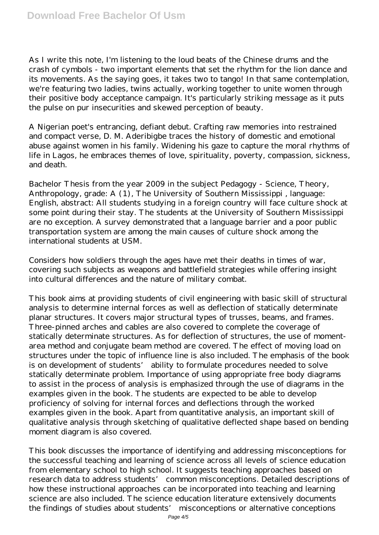As I write this note, I'm listening to the loud beats of the Chinese drums and the crash of cymbols - two important elements that set the rhythm for the lion dance and its movements. As the saying goes, it takes two to tango! In that same contemplation, we're featuring two ladies, twins actually, working together to unite women through their positive body acceptance campaign. It's particularly striking message as it puts the pulse on pur insecurities and skewed perception of beauty.

A Nigerian poet's entrancing, defiant debut. Crafting raw memories into restrained and compact verse, D. M. Aderibigbe traces the history of domestic and emotional abuse against women in his family. Widening his gaze to capture the moral rhythms of life in Lagos, he embraces themes of love, spirituality, poverty, compassion, sickness, and death.

Bachelor Thesis from the year 2009 in the subject Pedagogy - Science, Theory, Anthropology, grade: A (1), The University of Southern Mississippi , language: English, abstract: All students studying in a foreign country will face culture shock at some point during their stay. The students at the University of Southern Mississippi are no exception. A survey demonstrated that a language barrier and a poor public transportation system are among the main causes of culture shock among the international students at USM.

Considers how soldiers through the ages have met their deaths in times of war, covering such subjects as weapons and battlefield strategies while offering insight into cultural differences and the nature of military combat.

This book aims at providing students of civil engineering with basic skill of structural analysis to determine internal forces as well as deflection of statically determinate planar structures. It covers major structural types of trusses, beams, and frames. Three-pinned arches and cables are also covered to complete the coverage of statically determinate structures. As for deflection of structures, the use of momentarea method and conjugate beam method are covered. The effect of moving load on structures under the topic of influence line is also included. The emphasis of the book is on development of students' ability to formulate procedures needed to solve statically determinate problem. Importance of using appropriate free body diagrams to assist in the process of analysis is emphasized through the use of diagrams in the examples given in the book. The students are expected to be able to develop proficiency of solving for internal forces and deflections through the worked examples given in the book. Apart from quantitative analysis, an important skill of qualitative analysis through sketching of qualitative deflected shape based on bending moment diagram is also covered.

This book discusses the importance of identifying and addressing misconceptions for the successful teaching and learning of science across all levels of science education from elementary school to high school. It suggests teaching approaches based on research data to address students' common misconceptions. Detailed descriptions of how these instructional approaches can be incorporated into teaching and learning science are also included. The science education literature extensively documents the findings of studies about students' misconceptions or alternative conceptions